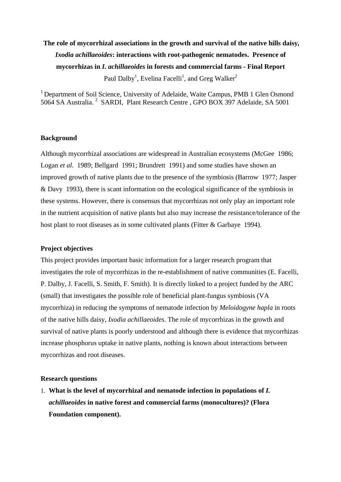# **The role of mycorrhizal associations in the growth and survival of the native hills daisy***, Ixodia achillaeoides***: interactions with root-pathogenic nematodes. Presence of mycorrhizas in** *I. achillaeoides* **in forests and commercial farms - Final Report**  Paul Dalby<sup>1</sup>, Evelina Facelli<sup>1</sup>, and Greg Walker<sup>2</sup>

<sup>1</sup> Department of Soil Science, University of Adelaide, Waite Campus, PMB 1 Glen Osmond 5064 SA Australia.<sup>2</sup> SARDI, Plant Research Centre, GPO BOX 397 Adelaide, SA 5001

#### **Background**

Although mycorrhizal associations are widespread in Australian ecosystems (McGee 1986; Logan *et al.* 1989; Bellgard 1991; Brundrett 1991) and some studies have shown an improved growth of native plants due to the presence of the symbiosis (Barrow 1977; Jasper & Davy 1993), there is scant information on the ecological significance of the symbiosis in these systems. However, there is consensus that mycorrhizas not only play an important role in the nutrient acquisition of native plants but also may increase the resistance/tolerance of the host plant to root diseases as in some cultivated plants (Fitter & Garbaye 1994).

## **Project objectives**

This project provides important basic information for a larger research program that investigates the role of mycorrhizas in the re-establishment of native communities (E. Facelli, P. Dalby, J. Facelli, S. Smith, F. Smith). It is directly linked to a project funded by the ARC (small) that investigates the possible role of beneficial plant-fungus symbiosis (VA mycorrhiza) in reducing the symptoms of nematode infection by *Meloidogyne hapla* in roots of the native hills daisy, *Ixodia achillaeoides*. The role of mycorrhizas in the growth and survival of native plants is poorly understood and although there is evidence that mycorrhizas increase phosphorus uptake in native plants, nothing is known about interactions between mycorrhizas and root diseases.

#### **Research questions**

1. **What is the level of mycorrhizal and nematode infection in populations of** *I. achillaeoides* **in native forest and commercial farms (monocultures)? (Flora Foundation component).**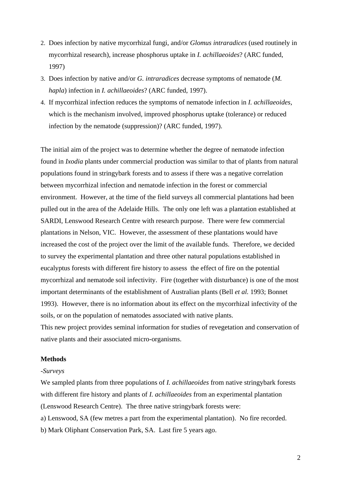- 2. Does infection by native mycorrhizal fungi, and/or *Glomus intraradices* (used routinely in mycorrhizal research), increase phosphorus uptake in *I. achillaeoides*? (ARC funded, 1997)
- 3. Does infection by native and/or *G. intraradices* decrease symptoms of nematode (*M. hapla*) infection in *I. achillaeoides*? (ARC funded, 1997).
- 4. If mycorrhizal infection reduces the symptoms of nematode infection in *I. achillaeoides*, which is the mechanism involved, improved phosphorus uptake (tolerance) or reduced infection by the nematode (suppression)? (ARC funded, 1997).

The initial aim of the project was to determine whether the degree of nematode infection found in *Ixodia* plants under commercial production was similar to that of plants from natural populations found in stringybark forests and to assess if there was a negative correlation between mycorrhizal infection and nematode infection in the forest or commercial environment. However, at the time of the field surveys all commercial plantations had been pulled out in the area of the Adelaide Hills. The only one left was a plantation established at SARDI, Lenswood Research Centre with research purpose. There were few commercial plantations in Nelson, VIC. However, the assessment of these plantations would have increased the cost of the project over the limit of the available funds. Therefore, we decided to survey the experimental plantation and three other natural populations established in eucalyptus forests with different fire history to assess the effect of fire on the potential mycorrhizal and nematode soil infectivity. Fire (together with disturbance) is one of the most important determinants of the establishment of Australian plants (Bell *et al.* 1993; Bonnet 1993). However, there is no information about its effect on the mycorrhizal infectivity of the soils, or on the population of nematodes associated with native plants. This new project provides seminal information for studies of revegetation and conservation of native plants and their associated micro-organisms.

#### **Methods**

#### *-Surveys*

We sampled plants from three populations of *I. achillaeoides* from native stringybark forests with different fire history and plants of *I. achillaeoides* from an experimental plantation (Lenswood Research Centre). The three native stringybark forests were:

a) Lenswood, SA (few metres a part from the experimental plantation). No fire recorded. b) Mark Oliphant Conservation Park, SA. Last fire 5 years ago.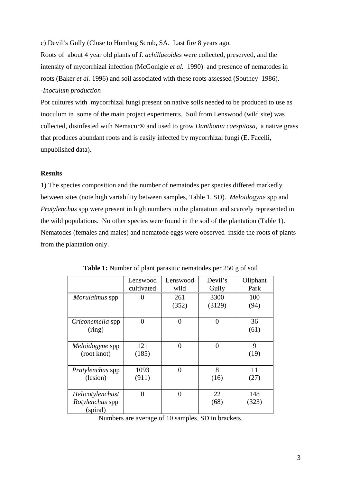c) Devil's Gully (Close to Humbug Scrub, SA. Last fire 8 years ago.

Roots of about 4 year old plants of *I. achillaeoides* were collected, preserved, and the intensity of mycorrhizal infection (McGonigle *et al.* 1990) and presence of nematodes in roots (Baker *et al.* 1996) and soil associated with these roots assessed (Southey 1986). *-Inoculum production* 

Pot cultures with mycorrhizal fungi present on native soils needed to be produced to use as inoculum in some of the main project experiments. Soil from Lenswood (wild site) was collected, disinfested with Nemacur® and used to grow *Danthonia caespitosa*, a native grass that produces abundant roots and is easily infected by mycorrhizal fungi (E. Facelli, unpublished data).

## **Results**

1) The species composition and the number of nematodes per species differed markedly between sites (note high variability between samples, Table 1, SD). *Meloidogyne* spp and *Pratylenchus* spp were present in high numbers in the plantation and scarcely represented in the wild populations. No other species were found in the soil of the plantation (Table 1). Nematodes (females and males) and nematode eggs were observed inside the roots of plants from the plantation only.

|                         | Lenswood     | Lenswood | Devil's  | Oliphant |
|-------------------------|--------------|----------|----------|----------|
|                         | cultivated   | wild     | Gully    | Park     |
| Morulaimus spp          | $\mathbf{0}$ | 261      | 3300     | 100      |
|                         |              | (352)    | (3129)   | (94)     |
|                         |              |          |          |          |
| Criconemella spp        | 0            | $\theta$ | 0        | 36       |
| (ring)                  |              |          |          | (61)     |
|                         |              |          |          |          |
| Meloidogyne spp         | 121          | $\theta$ | $\theta$ | 9        |
| (root knot)             | (185)        |          |          | (19)     |
|                         |              |          |          |          |
| <i>Pratylenchus</i> spp | 1093         | $\theta$ | 8        | 11       |
| (lesion)                | (911)        |          | (16)     | (27)     |
|                         |              |          |          |          |
| Helicotylenchus/        | 0            | $\theta$ | 22       | 148      |
| Rotylenchus spp         |              |          | (68)     | (323)    |
| (spiral)                |              |          |          |          |

|  |  | <b>Table 1:</b> Number of plant parasitic nematodes per 250 g of soil |  |
|--|--|-----------------------------------------------------------------------|--|
|--|--|-----------------------------------------------------------------------|--|

Numbers are average of 10 samples. SD in brackets.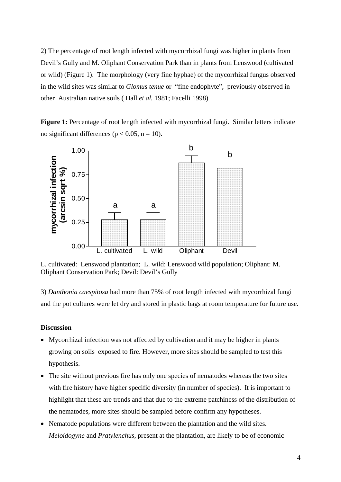2) The percentage of root length infected with mycorrhizal fungi was higher in plants from Devil's Gully and M. Oliphant Conservation Park than in plants from Lenswood (cultivated or wild) (Figure 1). The morphology (very fine hyphae) of the mycorrhizal fungus observed in the wild sites was similar to *Glomus tenue* or "fine endophyte", previously observed in other Australian native soils ( Hall *et al.* 1981; Facelli 1998)

Figure 1: Percentage of root length infected with mycorrhizal fungi. Similar letters indicate no significant differences ( $p < 0.05$ ,  $n = 10$ ).



L. cultivated: Lenswood plantation; L. wild: Lenswood wild population; Oliphant: M. Oliphant Conservation Park; Devil: Devil's Gully

3) *Danthonia caespitosa* had more than 75% of root length infected with mycorrhizal fungi and the pot cultures were let dry and stored in plastic bags at room temperature for future use.

#### **Discussion**

- Mycorrhizal infection was not affected by cultivation and it may be higher in plants growing on soils exposed to fire. However, more sites should be sampled to test this hypothesis.
- The site without previous fire has only one species of nematodes whereas the two sites with fire history have higher specific diversity (in number of species). It is important to highlight that these are trends and that due to the extreme patchiness of the distribution of the nematodes, more sites should be sampled before confirm any hypotheses.
- Nematode populations were different between the plantation and the wild sites. *Meloidogyne* and *Pratylenchus*, present at the plantation, are likely to be of economic